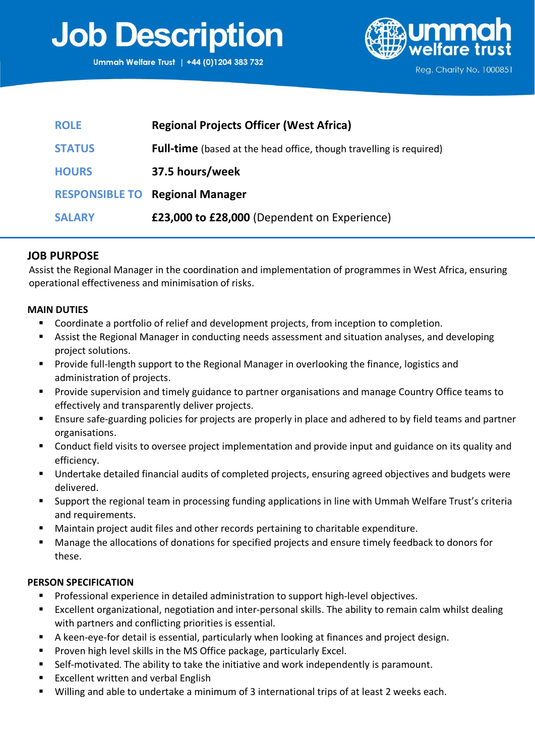# **Job Description**



| <b>ROLE</b>   | <b>Regional Projects Officer (West Africa)</b>                             |
|---------------|----------------------------------------------------------------------------|
| <b>STATUS</b> | <b>Full-time</b> (based at the head office, though travelling is required) |
| <b>HOURS</b>  | 37.5 hours/week                                                            |
|               | <b>RESPONSIBLE TO Regional Manager</b>                                     |
| <b>SALARY</b> | £23,000 to £28,000 (Dependent on Experience)                               |

### **JOB PURPOSE**

Assist the Regional Manager in the coordination and implementation of programmes in West Africa, ensuring operational effectiveness and minimisation of risks.

#### **MAIN DUTIES**

- Coordinate a portfolio of relief and development projects, from inception to completion.
- Assist the Regional Manager in conducting needs assessment and situation analyses, and developing project solutions.
- Provide full-length support to the Regional Manager in overlooking the finance, logistics and administration of projects.
- **Provide supervision and timely guidance to partner organisations and manage Country Office teams to** effectively and transparently deliver projects.
- **Ensure safe-guarding policies for projects are properly in place and adhered to by field teams and partner** organisations.
- **EXT** Conduct field visits to oversee project implementation and provide input and guidance on its quality and efficiency.
- Undertake detailed financial audits of completed projects, ensuring agreed objectives and budgets were delivered.
- Support the regional team in processing funding applications in line with Ummah Welfare Trust's criteria and requirements.
- Maintain project audit files and other records pertaining to charitable expenditure.
- Manage the allocations of donations for specified projects and ensure timely feedback to donors for these.

#### **PERSON SPECIFICATION**

- **Professional experience in detailed administration to support high-level objectives.**
- Excellent organizational, negotiation and inter-personal skills. The ability to remain calm whilst dealing with partners and conflicting priorities is essential.
- A keen-eye-for detail is essential, particularly when looking at finances and project design.
- **Proven high level skills in the MS Office package, particularly Excel.**
- Self-motivated. The ability to take the initiative and work independently is paramount.
- Excellent written and verbal English
- Willing and able to undertake a minimum of 3 international trips of at least 2 weeks each.